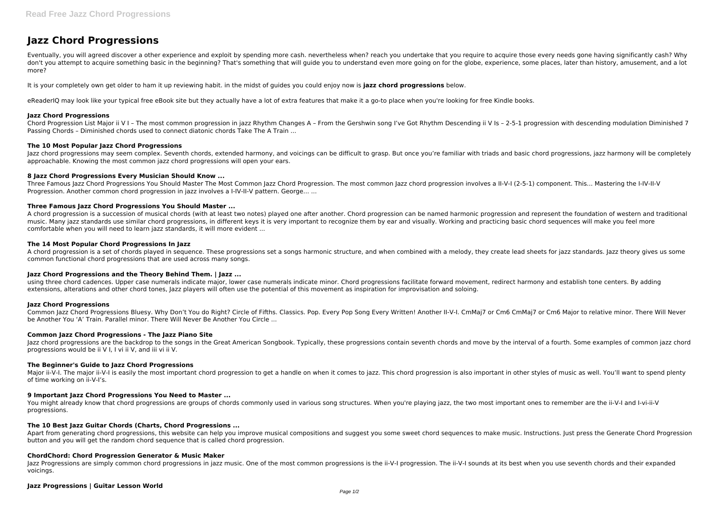# **Jazz Chord Progressions**

Eventually, you will agreed discover a other experience and exploit by spending more cash. nevertheless when? reach you undertake that you require to acquire those every needs gone having significantly cash? Why don't you attempt to acquire something basic in the beginning? That's something that will guide you to understand even more going on for the globe, experience, some places, later than history, amusement, and a lot more?

It is your completely own get older to ham it up reviewing habit. in the midst of guides you could enjoy now is **jazz chord progressions** below.

eReaderIQ may look like your typical free eBook site but they actually have a lot of extra features that make it a go-to place when you're looking for free Kindle books.

Chord Progression List Major ii V I - The most common progression in jazz Rhythm Changes A - From the Gershwin song I've Got Rhythm Descending ii V Is - 2-5-1 progression with descending modulation Diminished 7 Passing Chords – Diminished chords used to connect diatonic chords Take The A Train ...

Jazz chord progressions may seem complex. Seventh chords, extended harmony, and voicings can be difficult to grasp. But once you're familiar with triads and basic chord progressions, jazz harmony will be completely approachable. Knowing the most common jazz chord progressions will open your ears.

### **Jazz Chord Progressions**

#### **The 10 Most Popular Jazz Chord Progressions**

A chord progression is a succession of musical chords (with at least two notes) played one after another. Chord progression can be named harmonic progression and represent the foundation of western and traditional music. Many jazz standards use similar chord progressions, in different keys it is very important to recognize them by ear and visually. Working and practicing basic chord sequences will make you feel more comfortable when you will need to learn jazz standards, it will more evident ...

A chord progression is a set of chords played in sequence. These progressions set a songs harmonic structure, and when combined with a melody, they create lead sheets for jazz standards. Jazz theory gives us some common functional chord progressions that are used across many songs.

### **8 Jazz Chord Progressions Every Musician Should Know ...**

Three Famous Jazz Chord Progressions You Should Master The Most Common Jazz Chord Progression. The most common Jazz chord progression involves a II-V-I (2-5-1) component. This... Mastering the I-IV-II-V Progression. Another common chord progression in jazz involves a I-IV-II-V pattern. George... ...

# **Three Famous Jazz Chord Progressions You Should Master ...**

Jazz chord progressions are the backdrop to the songs in the Great American Songbook. Typically, these progressions contain seventh chords and move by the interval of a fourth. Some examples of common jazz chord progressions would be ii V I, I vi ii V, and iii vi ii V.

Major ii-V-I. The major ii-V-I is easily the most important chord progression to get a handle on when it comes to jazz. This chord progression is also important in other styles of music as well. You'll want to spend plenty of time working on ii-V-I's.

You might already know that chord progressions are groups of chords commonly used in various song structures. When you're playing jazz, the two most important ones to remember are the ii-V-I and I-vi-ii-V progressions.

Apart from generating chord progressions, this website can help you improve musical compositions and suggest you some sweet chord sequences to make music. Instructions. Just press the Generate Chord Progression button and you will get the random chord sequence that is called chord progression.

### **The 14 Most Popular Chord Progressions In Jazz**

### **Jazz Chord Progressions and the Theory Behind Them. | Jazz ...**

using three chord cadences. Upper case numerals indicate major, lower case numerals indicate minor. Chord progressions facilitate forward movement, redirect harmony and establish tone centers. By adding extensions, alterations and other chord tones, Jazz players will often use the potential of this movement as inspiration for improvisation and soloing.

### **Jazz Chord Progressions**

Common Jazz Chord Progressions Bluesy. Why Don't You do Right? Circle of Fifths. Classics. Pop. Every Pop Song Every Written! Another II-V-I. CmMaj7 or Cm6 CmMaj7 or Cm6 Major to relative minor. There Will Never be Another You 'A' Train. Parallel minor. There Will Never Be Another You Circle ...

### **Common Jazz Chord Progressions - The Jazz Piano Site**

### **The Beginner's Guide to Jazz Chord Progressions**

### **9 Important Jazz Chord Progressions You Need to Master ...**

### **The 10 Best Jazz Guitar Chords (Charts, Chord Progressions ...**

### **ChordChord: Chord Progression Generator & Music Maker**

Jazz Progressions are simply common chord progressions in jazz music. One of the most common progressions is the ii-V-I progression. The ii-V-I sounds at its best when you use seventh chords and their expanded voicings.

# **Jazz Progressions | Guitar Lesson World**